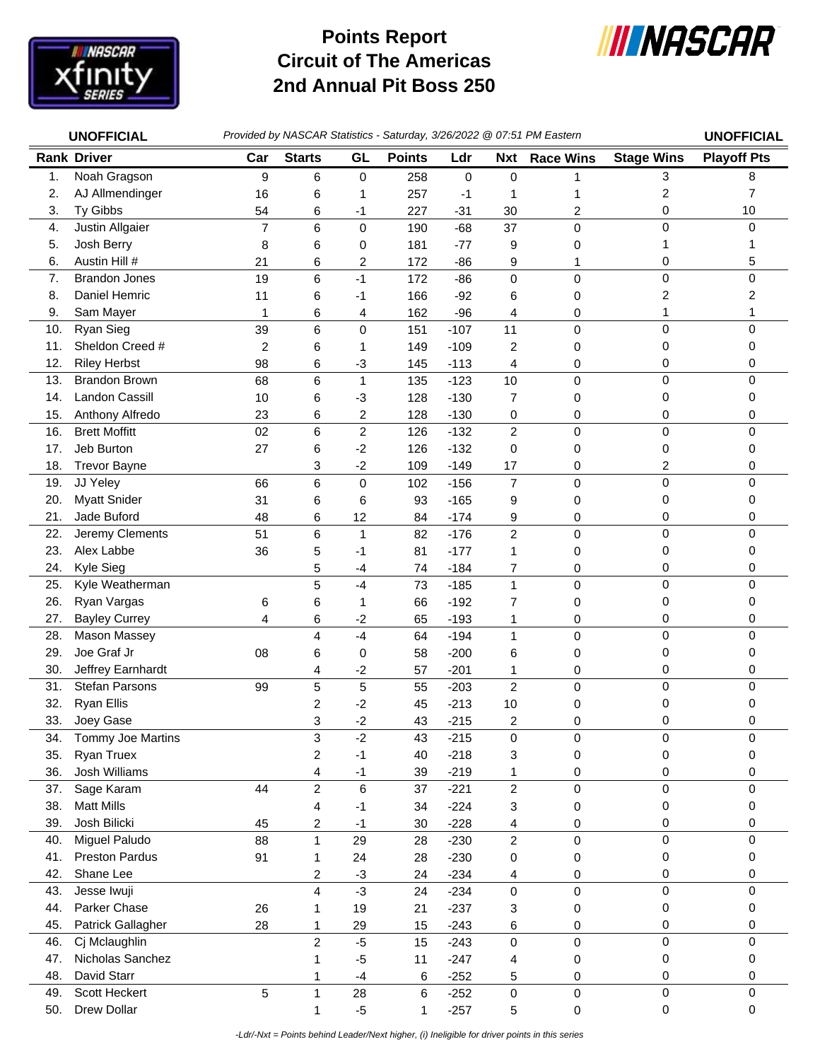

## **Circuit of The Americas 2nd Annual Pit Boss 250 Points Report**



| <b>UNOFFICIAL</b> |                                     | Provided by NASCAR Statistics - Saturday, 3/26/2022 @ 07:51 PM Eastern |                         |                  |               |                  |                              |                  |                   | <b>UNOFFICIAL</b>  |
|-------------------|-------------------------------------|------------------------------------------------------------------------|-------------------------|------------------|---------------|------------------|------------------------------|------------------|-------------------|--------------------|
|                   | <b>Rank Driver</b>                  | Car                                                                    | <b>Starts</b>           | GL               | <b>Points</b> | Ldr              | <b>Nxt</b>                   | <b>Race Wins</b> | <b>Stage Wins</b> | <b>Playoff Pts</b> |
| 1.                | Noah Gragson                        | 9                                                                      | 6                       | $\pmb{0}$        | 258           | 0                | 0                            | 1                | 3                 | 8                  |
| 2.                | AJ Allmendinger                     | 16                                                                     | 6                       | 1                | 257           | $-1$             | 1                            | 1                | 2                 | 7                  |
| 3.                | Ty Gibbs                            | 54                                                                     | 6                       | -1               | 227           | $-31$            | 30                           | $\overline{c}$   | 0                 | 10                 |
| 4.                | Justin Allgaier                     | $\overline{7}$                                                         | 6                       | $\pmb{0}$        | 190           | $-68$            | 37                           | $\mathbf 0$      | 0                 | $\Omega$           |
| 5.                | Josh Berry                          | 8                                                                      | 6                       | 0                | 181           | $-77$            | 9                            | 0                |                   |                    |
| 6.                | Austin Hill #                       | 21                                                                     | 6                       | 2                | 172           | $-86$            | 9                            | 1                | 0                 | 5                  |
| 7.                | <b>Brandon Jones</b>                | 19                                                                     | 6                       | $-1$             | 172           | $-86$            | 0                            | $\mathbf 0$      | 0                 | 0                  |
| 8.                | Daniel Hemric                       | 11                                                                     | 6                       | -1               | 166           | $-92$            | 6                            | 0                | 2                 | 2                  |
| 9.                | Sam Mayer                           | 1                                                                      | 6                       | 4                | 162           | $-96$            | 4                            | 0                | 1                 |                    |
| 10.               | Ryan Sieg                           | 39                                                                     | $6\phantom{1}6$         | $\mathbf 0$      | 151           | $-107$           | 11                           | $\mathbf 0$      | 0                 | $\Omega$           |
| 11.               | Sheldon Creed #                     | 2                                                                      | 6                       | 1                | 149           | $-109$           | 2                            | 0                | 0                 | 0                  |
| 12.               | <b>Riley Herbst</b>                 | 98                                                                     | 6                       | $-3$             | 145           | $-113$           | 4                            | 0                | 0                 | 0                  |
| 13.               | <b>Brandon Brown</b>                | 68                                                                     | 6                       | $\mathbf{1}$     | 135           | $-123$           | 10                           | $\mathbf 0$      | 0                 | 0                  |
| 14.               | <b>Landon Cassill</b>               | 10                                                                     | 6                       | $-3$             | 128           | $-130$           | $\overline{7}$               | 0                | 0                 | 0                  |
| 15.               | Anthony Alfredo                     | 23                                                                     | 6                       | $\overline{c}$   | 128           | $-130$           | 0                            | 0                | 0                 | 0                  |
| 16.               | <b>Brett Moffitt</b>                | 02                                                                     | 6                       | $\boldsymbol{2}$ | 126           | $-132$           | $\overline{2}$               | $\pmb{0}$        | 0                 | 0                  |
| 17.               | Jeb Burton                          | 27                                                                     | 6                       | $-2$             | 126           | $-132$           | 0                            | 0                | 0                 | 0                  |
| 18.               | <b>Trevor Bayne</b>                 |                                                                        | 3                       | $-2$             | 109           | $-149$           | 17                           | 0                | 2                 | 0                  |
| 19.               | JJ Yeley                            | 66                                                                     | 6                       | $\pmb{0}$        | 102           | $-156$           | $\overline{7}$               | $\mathbf 0$      | 0                 | $\Omega$           |
| 20.               | <b>Myatt Snider</b>                 | 31                                                                     | 6                       | 6                | 93            | $-165$           | 9                            | 0                | 0                 | $\Omega$           |
| 21.               | Jade Buford                         | 48                                                                     | 6                       | 12               | 84            | $-174$           | 9                            | 0                | 0                 | 0                  |
| 22.               | Jeremy Clements                     | 51                                                                     | 6                       | $\mathbf{1}$     | 82            | $-176$           | $\overline{2}$               | $\pmb{0}$        | 0                 | 0                  |
| 23.               | Alex Labbe                          | 36                                                                     | 5                       | $-1$             | 81            | $-177$           | 1                            | 0                | 0                 | 0                  |
| 24.               | Kyle Sieg                           |                                                                        | 5                       | $-4$             | 74            | $-184$           | 7                            | 0                | 0                 | 0                  |
| 25.               | Kyle Weatherman                     |                                                                        | 5                       | $-4$             | 73            | $-185$           | $\mathbf{1}$                 | $\mathbf 0$      | 0                 | $\Omega$           |
| 26.               | Ryan Vargas                         | 6                                                                      | 6                       | 1                | 66            | $-192$           | 7                            | 0                | 0                 | 0                  |
| 27.               | <b>Bayley Currey</b>                | 4                                                                      | 6                       | $-2$             | 65            | $-193$           | 1                            | 0                | 0                 | 0                  |
| 28.               | <b>Mason Massey</b>                 |                                                                        | 4                       | $-4$             | 64            | $-194$           | $\mathbf{1}$                 | $\mathbf 0$      | $\mathsf 0$       | $\mathbf{0}$       |
| 29.               | Joe Graf Jr                         | 08                                                                     | 6                       | 0                | 58            | $-200$           | 6                            | 0                | 0                 | 0                  |
| 30.               | Jeffrey Earnhardt                   |                                                                        | 4                       | $-2$             | 57            | $-201$           | 1                            | 0                | 0                 | 0                  |
| 31.<br>32.        | Stefan Parsons<br><b>Ryan Ellis</b> | 99                                                                     | 5                       | 5                | 55            | $-203$           | $\overline{c}$               | 0                | 0                 | 0                  |
| 33.               |                                     |                                                                        | $\overline{c}$<br>3     | $-2$<br>$-2$     | 45            | $-213$           | 10                           | 0<br>$\Omega$    | 0<br>0            | 0<br><sup>0</sup>  |
| 34.               | Joey Gase<br>Tommy Joe Martins      |                                                                        | 3                       | $-2$             | 43<br>43      | $-215$<br>$-215$ | $\overline{\mathbf{c}}$<br>0 | 0                | 0                 | 0                  |
| 35.               | Ryan Truex                          |                                                                        | $\overline{\mathbf{c}}$ | $-1$             | 40            | $-218$           |                              | 0                | 0                 | 0                  |
| 36.               | Josh Williams                       |                                                                        | 4                       | $-1$             | 39            | $-219$           | 3<br>1                       | 0                | 0                 | 0                  |
| 37.               | Sage Karam                          | 44                                                                     | $\overline{2}$          | $6\phantom{1}6$  | 37            | $-221$           | $\overline{2}$               | $\mathbf 0$      | 0                 | 0                  |
| 38.               | <b>Matt Mills</b>                   |                                                                        | 4                       | $-1$             | 34            | $-224$           | 3                            | 0                | 0                 | 0                  |
| 39.               | Josh Bilicki                        | 45                                                                     | $\overline{c}$          | $-1$             | 30            | $-228$           | 4                            | 0                | 0                 | 0                  |
| 40.               | Miguel Paludo                       | 88                                                                     | $\mathbf{1}$            | 29               | 28            | $-230$           | $\overline{c}$               | 0                | $\mathsf 0$       | $\mathbf 0$        |
| 41.               | Preston Pardus                      | 91                                                                     | 1                       | 24               | 28            | $-230$           | 0                            | 0                | 0                 | 0                  |
| 42.               | Shane Lee                           |                                                                        | $\overline{c}$          | $-3$             | 24            | $-234$           | 4                            | 0                | 0                 | 0                  |
| 43.               | Jesse Iwuji                         |                                                                        | 4                       | $-3$             | 24            | $-234$           | 0                            | $\pmb{0}$        | $\mathsf 0$       | $\mathbf 0$        |
| 44.               | Parker Chase                        | 26                                                                     | 1                       | 19               | 21            | $-237$           | 3                            | 0                | 0                 | 0                  |
| 45.               | Patrick Gallagher                   | 28                                                                     | 1                       | 29               | 15            | $-243$           | 6                            | 0                | 0                 | 0                  |
| 46.               | Cj Mclaughlin                       |                                                                        | $\overline{c}$          | $-5$             | 15            | $-243$           | 0                            | $\mathbf 0$      | 0                 | 0                  |
| 47.               | Nicholas Sanchez                    |                                                                        | 1                       | $-5$             | 11            | $-247$           | 4                            | 0                | 0                 | 0                  |
| 48.               | David Starr                         |                                                                        | 1                       | $-4$             | 6             | $-252$           | 5                            | 0                | 0                 | 0                  |
| 49.               | Scott Heckert                       | 5                                                                      | $\mathbf{1}$            | 28               | 6             | $-252$           | $\pmb{0}$                    | 0                | $\mathbf 0$       | 0                  |
| 50.               | Drew Dollar                         |                                                                        | 1                       | $-5$             | 1             | $-257$           | 5                            | 0                | 0                 | 0                  |